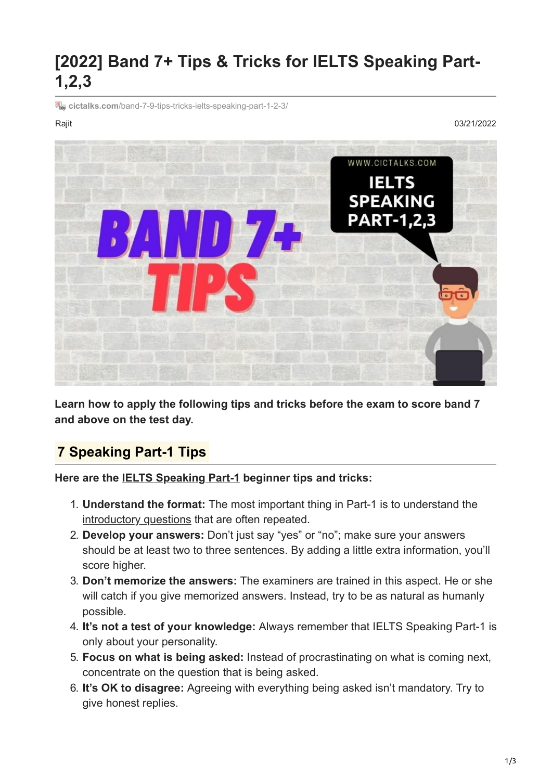# **[2022] Band 7+ Tips & Tricks for IELTS Speaking Part-1,2,3**

**E** cictalks.com[/band-7-9-tips-tricks-ielts-speaking-part-1-2-3/](https://cictalks.com/band-7-9-tips-tricks-ielts-speaking-part-1-2-3/)

Rajit 03/21/2022



**Learn how to apply the following tips and tricks before the exam to score band 7 and above on the test day.**

## **7 Speaking Part-1 Tips**

**Here are the [IELTS Speaking Part-1](https://cictalks.com/ielts-speaking-part-1-questions-and-answers/) beginner tips and tricks:**

- 1. **Understand the format:** The most important thing in Part-1 is to understand the [introductory questions](https://cictalks.com/ielts-speaking-introduction-questions-with-answers-pdf/) that are often repeated.
- 2. **Develop your answers:** Don't just say "yes" or "no"; make sure your answers should be at least two to three sentences. By adding a little extra information, you'll score higher.
- 3. **Don't memorize the answers:** The examiners are trained in this aspect. He or she will catch if you give memorized answers. Instead, try to be as natural as humanly possible.
- 4. **It's not a test of your knowledge:** Always remember that IELTS Speaking Part-1 is only about your personality.
- 5. **Focus on what is being asked:** Instead of procrastinating on what is coming next, concentrate on the question that is being asked.
- 6. **It's OK to disagree:** Agreeing with everything being asked isn't mandatory. Try to give honest replies.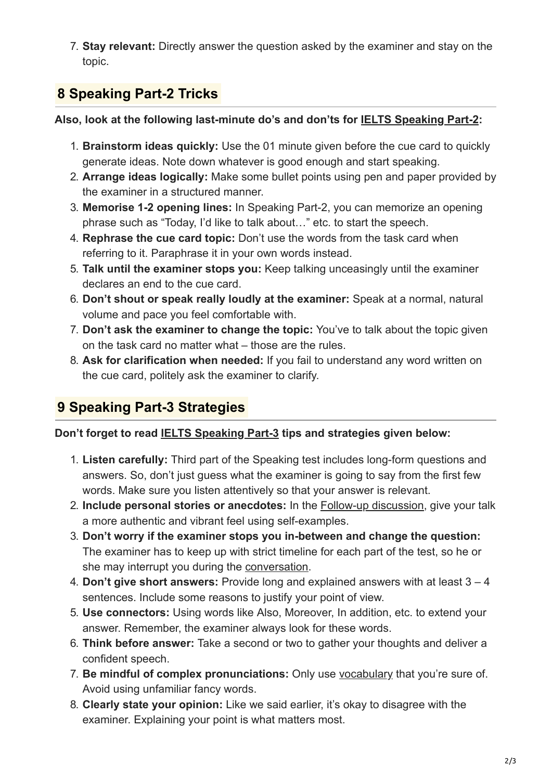7. **Stay relevant:** Directly answer the question asked by the examiner and stay on the topic.

## **8 Speaking Part-2 Tricks**

#### **Also, look at the following last-minute do's and don'ts for [IELTS Speaking Part-2](https://cictalks.com/ielts-speaking-part-2-cue-cards/):**

- 1. **Brainstorm ideas quickly:** Use the 01 minute given before the cue card to quickly generate ideas. Note down whatever is good enough and start speaking.
- 2. **Arrange ideas logically:** Make some bullet points using pen and paper provided by the examiner in a structured manner.
- 3. **Memorise 1-2 opening lines:** In Speaking Part-2, you can memorize an opening phrase such as "Today, I'd like to talk about…" etc. to start the speech.
- 4. **Rephrase the cue card topic:** Don't use the words from the task card when referring to it. Paraphrase it in your own words instead.
- 5. **Talk until the examiner stops you:** Keep talking unceasingly until the examiner declares an end to the cue card.
- 6. **Don't shout or speak really loudly at the examiner:** Speak at a normal, natural volume and pace you feel comfortable with.
- 7. **Don't ask the examiner to change the topic:** You've to talk about the topic given on the task card no matter what – those are the rules.
- 8. **Ask for clarification when needed:** If you fail to understand any word written on the cue card, politely ask the examiner to clarify.

## **9 Speaking Part-3 Strategies**

### **Don't forget to read [IELTS Speaking Part-3](https://cictalks.com/ielts-speaking-part-3-questions-answers/) tips and strategies given below:**

- 1. **Listen carefully:** Third part of the Speaking test includes long-form questions and answers. So, don't just guess what the examiner is going to say from the first few words. Make sure you listen attentively so that your answer is relevant.
- 2. **Include personal stories or anecdotes:** In the [Follow-up discussion](https://cictalks.com/common-ielts-speaking-follow-up-question-answer/), give your talk a more authentic and vibrant feel using self-examples.
- 3. **Don't worry if the examiner stops you in-between and change the question:** The examiner has to keep up with strict timeline for each part of the test, so he or she may interrupt you during the [conversation](https://cictalks.com/describe-an-interesting-conversation-you-had-with-your-friend/).
- 4. **Don't give short answers:** Provide long and explained answers with at least 3 4 sentences. Include some reasons to justify your point of view.
- 5. **Use connectors:** Using words like Also, Moreover, In addition, etc. to extend your answer. Remember, the examiner always look for these words.
- 6. **Think before answer:** Take a second or two to gather your thoughts and deliver a confident speech.
- 7. **Be mindful of complex pronunciations:** Only use [vocabulary](https://cictalks.com/ielts-speaking-band-7-8-9-vocabulary-words-idioms-pdf/) that you're sure of. Avoid using unfamiliar fancy words.
- 8. **Clearly state your opinion:** Like we said earlier, it's okay to disagree with the examiner. Explaining your point is what matters most.